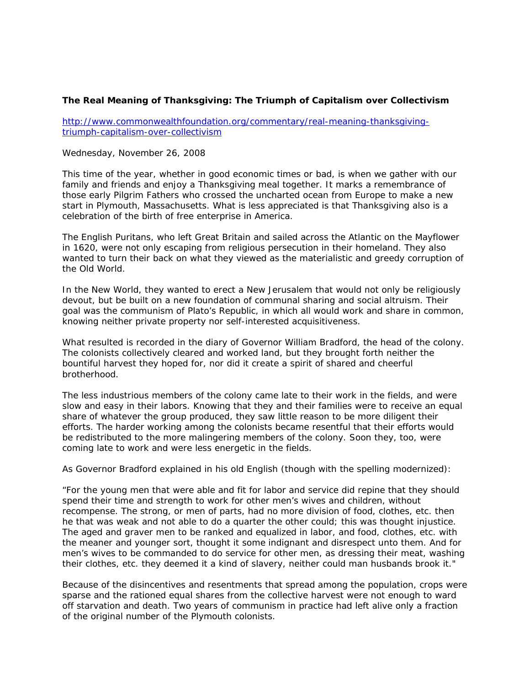## **The Real Meaning of Thanksgiving: The Triumph of Capitalism over Collectivism**

http://www.commonwealthfoundation.org/commentary/real-meaning-thanksgivingtriumph-capitalism-over-collectivism

## Wednesday, November 26, 2008

This time of the year, whether in good economic times or bad, is when we gather with our family and friends and enjoy a Thanksgiving meal together. It marks a remembrance of those early Pilgrim Fathers who crossed the uncharted ocean from Europe to make a new start in Plymouth, Massachusetts. What is less appreciated is that Thanksgiving also is a celebration of the birth of free enterprise in America.

The English Puritans, who left Great Britain and sailed across the Atlantic on the Mayflower in 1620, were not only escaping from religious persecution in their homeland. They also wanted to turn their back on what they viewed as the materialistic and greedy corruption of the Old World.

In the New World, they wanted to erect a New Jerusalem that would not only be religiously devout, but be built on a new foundation of communal sharing and social altruism. Their goal was the communism of Plato's Republic, in which all would work and share in common, knowing neither private property nor self-interested acquisitiveness.

What resulted is recorded in the diary of Governor William Bradford, the head of the colony. The colonists collectively cleared and worked land, but they brought forth neither the bountiful harvest they hoped for, nor did it create a spirit of shared and cheerful brotherhood.

The less industrious members of the colony came late to their work in the fields, and were slow and easy in their labors. Knowing that they and their families were to receive an equal share of whatever the group produced, they saw little reason to be more diligent their efforts. The harder working among the colonists became resentful that their efforts would be redistributed to the more malingering members of the colony. Soon they, too, were coming late to work and were less energetic in the fields.

As Governor Bradford explained in his old English (though with the spelling modernized):

"For the young men that were able and fit for labor and service did repine that they should spend their time and strength to work for other men's wives and children, without recompense. The strong, or men of parts, had no more division of food, clothes, etc. then he that was weak and not able to do a quarter the other could; this was thought injustice. The aged and graver men to be ranked and equalized in labor, and food, clothes, etc. with the meaner and younger sort, thought it some indignant and disrespect unto them. And for men's wives to be commanded to do service for other men, as dressing their meat, washing their clothes, etc. they deemed it a kind of slavery, neither could man husbands brook it."

Because of the disincentives and resentments that spread among the population, crops were sparse and the rationed equal shares from the collective harvest were not enough to ward off starvation and death. Two years of communism in practice had left alive only a fraction of the original number of the Plymouth colonists.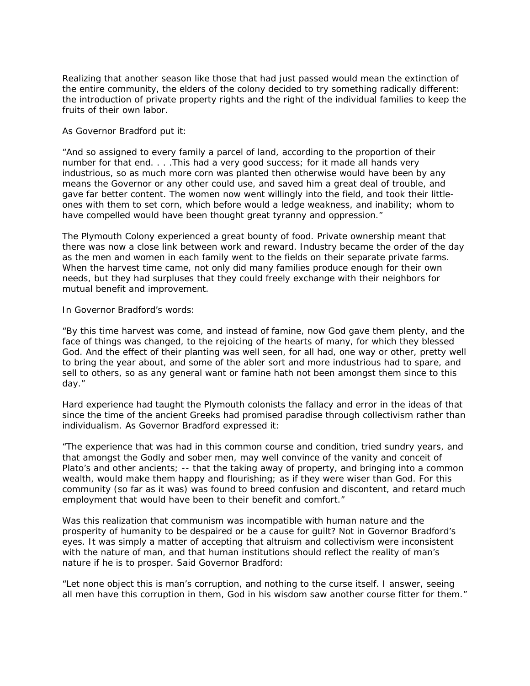Realizing that another season like those that had just passed would mean the extinction of the entire community, the elders of the colony decided to try something radically different: the introduction of private property rights and the right of the individual families to keep the fruits of their own labor.

## As Governor Bradford put it:

"And so assigned to every family a parcel of land, according to the proportion of their number for that end. . . . This had a very good success; for it made all hands very industrious, so as much more corn was planted then otherwise would have been by any means the Governor or any other could use, and saved him a great deal of trouble, and gave far better content. The women now went willingly into the field, and took their littleones with them to set corn, which before would a ledge weakness, and inability; whom to have compelled would have been thought great tyranny and oppression."

The Plymouth Colony experienced a great bounty of food. Private ownership meant that there was now a close link between work and reward. Industry became the order of the day as the men and women in each family went to the fields on their separate private farms. When the harvest time came, not only did many families produce enough for their own needs, but they had surpluses that they could freely exchange with their neighbors for mutual benefit and improvement.

## In Governor Bradford's words:

"By this time harvest was come, and instead of famine, now God gave them plenty, and the face of things was changed, to the rejoicing of the hearts of many, for which they blessed God. And the effect of their planting was well seen, for all had, one way or other, pretty well to bring the year about, and some of the abler sort and more industrious had to spare, and sell to others, so as any general want or famine hath not been amongst them since to this day."

Hard experience had taught the Plymouth colonists the fallacy and error in the ideas of that since the time of the ancient Greeks had promised paradise through collectivism rather than individualism. As Governor Bradford expressed it:

"The experience that was had in this common course and condition, tried sundry years, and that amongst the Godly and sober men, may well convince of the vanity and conceit of Plato's and other ancients; -- that the taking away of property, and bringing into a common wealth, would make them happy and flourishing; as if they were wiser than God. For this community (so far as it was) was found to breed confusion and discontent, and retard much employment that would have been to their benefit and comfort."

Was this realization that communism was incompatible with human nature and the prosperity of humanity to be despaired or be a cause for guilt? Not in Governor Bradford's eyes. It was simply a matter of accepting that altruism and collectivism were inconsistent with the nature of man, and that human institutions should reflect the reality of man's nature if he is to prosper. Said Governor Bradford:

"Let none object this is man's corruption, and nothing to the curse itself. I answer, seeing all men have this corruption in them, God in his wisdom saw another course fitter for them."